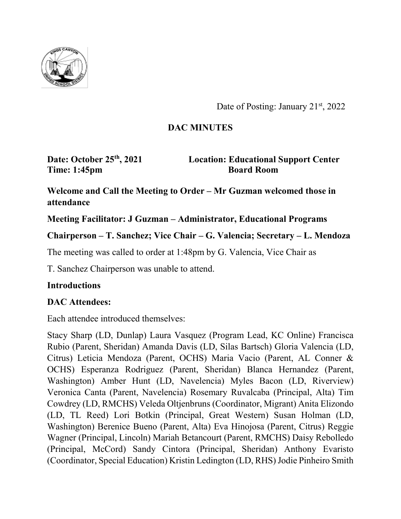

Date of Posting: January 21<sup>st</sup>, 2022

## **DAC MINUTES**

**Time: 1:45pm Board Room** 

**Date: October 25th, 2021 Location: Educational Support Center**

**Welcome and Call the Meeting to Order – Mr Guzman welcomed those in attendance**

**Meeting Facilitator: J Guzman – Administrator, Educational Programs**

**Chairperson – T. Sanchez; Vice Chair – G. Valencia; Secretary – L. Mendoza**

The meeting was called to order at 1:48pm by G. Valencia, Vice Chair as

T. Sanchez Chairperson was unable to attend.

### **Introductions**

## **DAC Attendees:**

Each attendee introduced themselves:

Stacy Sharp (LD, Dunlap) Laura Vasquez (Program Lead, KC Online) Francisca Rubio (Parent, Sheridan) Amanda Davis (LD, Silas Bartsch) Gloria Valencia (LD, Citrus) Leticia Mendoza (Parent, OCHS) Maria Vacio (Parent, AL Conner & OCHS) Esperanza Rodriguez (Parent, Sheridan) Blanca Hernandez (Parent, Washington) Amber Hunt (LD, Navelencia) Myles Bacon (LD, Riverview) Veronica Canta (Parent, Navelencia) Rosemary Ruvalcaba (Principal, Alta) Tim Cowdrey (LD, RMCHS) Veleda Oltjenbruns (Coordinator, Migrant) Anita Elizondo (LD, TL Reed) Lori Botkin (Principal, Great Western) Susan Holman (LD, Washington) Berenice Bueno (Parent, Alta) Eva Hinojosa (Parent, Citrus) Reggie Wagner (Principal, Lincoln) Mariah Betancourt (Parent, RMCHS) Daisy Rebolledo (Principal, McCord) Sandy Cintora (Principal, Sheridan) Anthony Evaristo (Coordinator, Special Education) Kristin Ledington (LD, RHS) Jodie Pinheiro Smith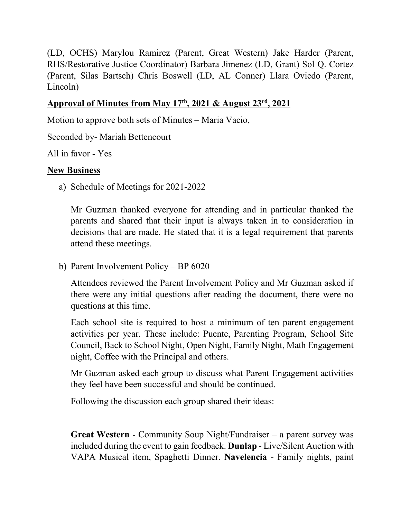(LD, OCHS) Marylou Ramirez (Parent, Great Western) Jake Harder (Parent, RHS/Restorative Justice Coordinator) Barbara Jimenez (LD, Grant) Sol Q. Cortez (Parent, Silas Bartsch) Chris Boswell (LD, AL Conner) Llara Oviedo (Parent, Lincoln)

### **Approval of Minutes from May 17th, 2021 & August 23rd, 2021**

Motion to approve both sets of Minutes – Maria Vacio,

Seconded by- Mariah Bettencourt

All in favor - Yes

### **New Business**

a) Schedule of Meetings for 2021-2022

Mr Guzman thanked everyone for attending and in particular thanked the parents and shared that their input is always taken in to consideration in decisions that are made. He stated that it is a legal requirement that parents attend these meetings.

b) Parent Involvement Policy – BP 6020

Attendees reviewed the Parent Involvement Policy and Mr Guzman asked if there were any initial questions after reading the document, there were no questions at this time.

Each school site is required to host a minimum of ten parent engagement activities per year. These include: Puente, Parenting Program, School Site Council, Back to School Night, Open Night, Family Night, Math Engagement night, Coffee with the Principal and others.

Mr Guzman asked each group to discuss what Parent Engagement activities they feel have been successful and should be continued.

Following the discussion each group shared their ideas:

**Great Western** - Community Soup Night/Fundraiser – a parent survey was included during the event to gain feedback. **Dunlap** - Live/Silent Auction with VAPA Musical item, Spaghetti Dinner. **Navelencia** - Family nights, paint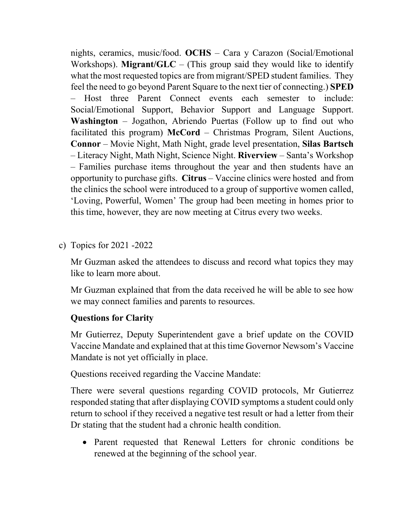nights, ceramics, music/food. **OCHS** – Cara y Carazon (Social/Emotional Workshops). **Migrant/GLC** – (This group said they would like to identify what the most requested topics are from migrant/SPED student families. They feel the need to go beyond Parent Square to the next tier of connecting.) **SPED** – Host three Parent Connect events each semester to include: Social/Emotional Support, Behavior Support and Language Support. **Washington** – Jogathon, Abriendo Puertas (Follow up to find out who facilitated this program) **McCord** – Christmas Program, Silent Auctions, **Connor** – Movie Night, Math Night, grade level presentation, **Silas Bartsch** – Literacy Night, Math Night, Science Night. **Riverview** – Santa's Workshop – Families purchase items throughout the year and then students have an opportunity to purchase gifts. **Citrus** – Vaccine clinics were hosted and from the clinics the school were introduced to a group of supportive women called, 'Loving, Powerful, Women' The group had been meeting in homes prior to this time, however, they are now meeting at Citrus every two weeks.

c) Topics for 2021 -2022

Mr Guzman asked the attendees to discuss and record what topics they may like to learn more about.

Mr Guzman explained that from the data received he will be able to see how we may connect families and parents to resources.

### **Questions for Clarity**

Mr Gutierrez, Deputy Superintendent gave a brief update on the COVID Vaccine Mandate and explained that at this time Governor Newsom's Vaccine Mandate is not yet officially in place.

Questions received regarding the Vaccine Mandate:

There were several questions regarding COVID protocols, Mr Gutierrez responded stating that after displaying COVID symptoms a student could only return to school if they received a negative test result or had a letter from their Dr stating that the student had a chronic health condition.

• Parent requested that Renewal Letters for chronic conditions be renewed at the beginning of the school year.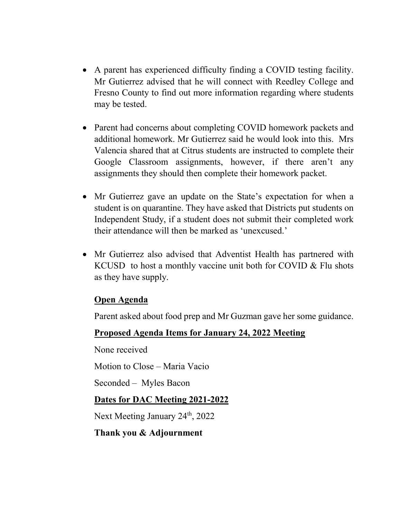- A parent has experienced difficulty finding a COVID testing facility. Mr Gutierrez advised that he will connect with Reedley College and Fresno County to find out more information regarding where students may be tested.
- Parent had concerns about completing COVID homework packets and additional homework. Mr Gutierrez said he would look into this. Mrs Valencia shared that at Citrus students are instructed to complete their Google Classroom assignments, however, if there aren't any assignments they should then complete their homework packet.
- Mr Gutierrez gave an update on the State's expectation for when a student is on quarantine. They have asked that Districts put students on Independent Study, if a student does not submit their completed work their attendance will then be marked as 'unexcused.'
- Mr Gutierrez also advised that Adventist Health has partnered with KCUSD to host a monthly vaccine unit both for COVID & Flu shots as they have supply.

### **Open Agenda**

Parent asked about food prep and Mr Guzman gave her some guidance.

### **Proposed Agenda Items for January 24, 2022 Meeting**

None received

Motion to Close – Maria Vacio

Seconded – Myles Bacon

### **Dates for DAC Meeting 2021-2022**

Next Meeting January 24<sup>th</sup>, 2022

### **Thank you & Adjournment**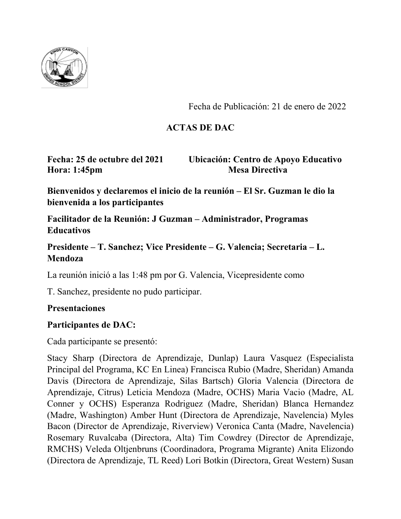

Fecha de Publicación: 21 de enero de 2022

## **ACTAS DE DAC**

**Hora: 1:45pm Mesa Directiva** 

**Fecha: 25 de octubre del 2021 Ubicación: Centro de Apoyo Educativo**

**Bienvenidos y declaremos el inicio de la reunión – El Sr. Guzman le dio la bienvenida a los participantes**

**Facilitador de la Reunión: J Guzman – Administrador, Programas Educativos**

**Presidente – T. Sanchez; Vice Presidente – G. Valencia; Secretaria – L. Mendoza**

La reunión inició a las 1:48 pm por G. Valencia, Vicepresidente como

T. Sanchez, presidente no pudo participar.

### **Presentaciones**

### **Participantes de DAC:**

Cada participante se presentó:

Stacy Sharp (Directora de Aprendizaje, Dunlap) Laura Vasquez (Especialista Principal del Programa, KC En Linea) Francisca Rubio (Madre, Sheridan) Amanda Davis (Directora de Aprendizaje, Silas Bartsch) Gloria Valencia (Directora de Aprendizaje, Citrus) Leticia Mendoza (Madre, OCHS) Maria Vacio (Madre, AL Conner y OCHS) Esperanza Rodriguez (Madre, Sheridan) Blanca Hernandez (Madre, Washington) Amber Hunt (Directora de Aprendizaje, Navelencia) Myles Bacon (Director de Aprendizaje, Riverview) Veronica Canta (Madre, Navelencia) Rosemary Ruvalcaba (Directora, Alta) Tim Cowdrey (Director de Aprendizaje, RMCHS) Veleda Oltjenbruns (Coordinadora, Programa Migrante) Anita Elizondo (Directora de Aprendizaje, TL Reed) Lori Botkin (Directora, Great Western) Susan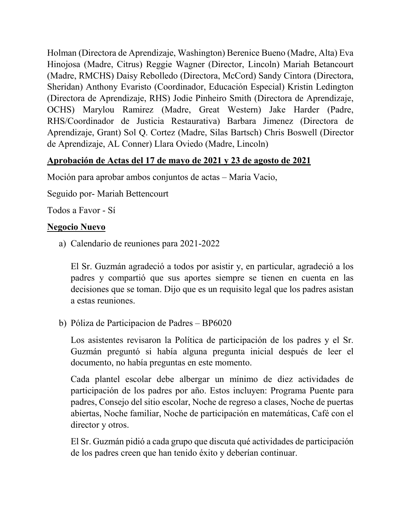Holman (Directora de Aprendizaje, Washington) Berenice Bueno (Madre, Alta) Eva Hinojosa (Madre, Citrus) Reggie Wagner (Director, Lincoln) Mariah Betancourt (Madre, RMCHS) Daisy Rebolledo (Directora, McCord) Sandy Cintora (Directora, Sheridan) Anthony Evaristo (Coordinador, Educación Especial) Kristin Ledington (Directora de Aprendizaje, RHS) Jodie Pinheiro Smith (Directora de Aprendizaje, OCHS) Marylou Ramirez (Madre, Great Western) Jake Harder (Padre, RHS/Coordinador de Justicia Restaurativa) Barbara Jimenez (Directora de Aprendizaje, Grant) Sol Q. Cortez (Madre, Silas Bartsch) Chris Boswell (Director de Aprendizaje, AL Conner) Llara Oviedo (Madre, Lincoln)

## **Aprobación de Actas del 17 de mayo de 2021 y 23 de agosto de 2021**

Moción para aprobar ambos conjuntos de actas – Maria Vacio,

Seguido por- Mariah Bettencourt

Todos a Favor - Sí

### **Negocio Nuevo**

a) Calendario de reuniones para 2021-2022

El Sr. Guzmán agradeció a todos por asistir y, en particular, agradeció a los padres y compartió que sus aportes siempre se tienen en cuenta en las decisiones que se toman. Dijo que es un requisito legal que los padres asistan a estas reuniones.

b) Póliza de Participacion de Padres – BP6020

Los asistentes revisaron la Política de participación de los padres y el Sr. Guzmán preguntó si había alguna pregunta inicial después de leer el documento, no había preguntas en este momento.

Cada plantel escolar debe albergar un mínimo de diez actividades de participación de los padres por año. Estos incluyen: Programa Puente para padres, Consejo del sitio escolar, Noche de regreso a clases, Noche de puertas abiertas, Noche familiar, Noche de participación en matemáticas, Café con el director y otros.

El Sr. Guzmán pidió a cada grupo que discuta qué actividades de participación de los padres creen que han tenido éxito y deberían continuar.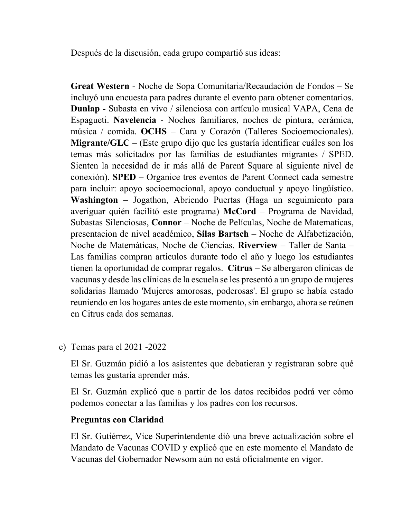Después de la discusión, cada grupo compartió sus ideas:

**Great Western** - Noche de Sopa Comunitaria/Recaudación de Fondos – Se incluyó una encuesta para padres durante el evento para obtener comentarios. **Dunlap** - Subasta en vivo / silenciosa con artículo musical VAPA, Cena de Espagueti. **Navelencia** - Noches familiares, noches de pintura, cerámica, música / comida. **OCHS** – Cara y Corazón (Talleres Socioemocionales). **Migrante/GLC** – (Este grupo dijo que les gustaría identificar cuáles son los temas más solicitados por las familias de estudiantes migrantes / SPED. Sienten la necesidad de ir más allá de Parent Square al siguiente nivel de conexión). **SPED** – Organice tres eventos de Parent Connect cada semestre para incluir: apoyo socioemocional, apoyo conductual y apoyo lingüístico. **Washington** – Jogathon, Abriendo Puertas (Haga un seguimiento para averiguar quién facilitó este programa) **McCord** – Programa de Navidad, Subastas Silenciosas, **Connor** – Noche de Películas, Noche de Matematicas, presentacion de nivel académico, **Silas Bartsch** – Noche de Alfabetización, Noche de Matemáticas, Noche de Ciencias. **Riverview** – Taller de Santa – Las familias compran artículos durante todo el año y luego los estudiantes tienen la oportunidad de comprar regalos. **Citrus** – Se albergaron clínicas de vacunas y desde las clínicas de la escuela se les presentó a un grupo de mujeres solidarias llamado 'Mujeres amorosas, poderosas'. El grupo se había estado reuniendo en los hogares antes de este momento, sin embargo, ahora se reúnen en Citrus cada dos semanas.

c) Temas para el 2021 -2022

El Sr. Guzmán pidió a los asistentes que debatieran y registraran sobre qué temas les gustaría aprender más.

El Sr. Guzmán explicó que a partir de los datos recibidos podrá ver cómo podemos conectar a las familias y los padres con los recursos.

### **Preguntas con Claridad**

El Sr. Gutiérrez, Vice Superintendente dió una breve actualización sobre el Mandato de Vacunas COVID y explicó que en este momento el Mandato de Vacunas del Gobernador Newsom aún no está oficialmente en vigor.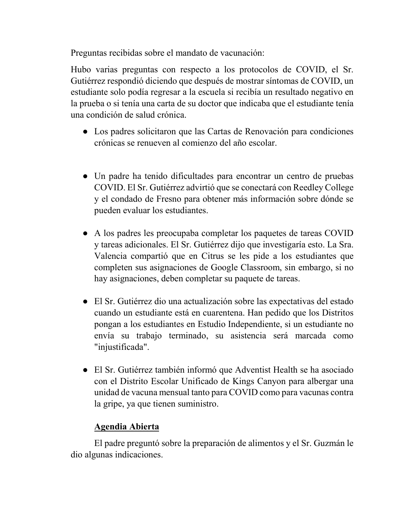Preguntas recibidas sobre el mandato de vacunación:

Hubo varias preguntas con respecto a los protocolos de COVID, el Sr. Gutiérrez respondió diciendo que después de mostrar síntomas de COVID, un estudiante solo podía regresar a la escuela si recibía un resultado negativo en la prueba o si tenía una carta de su doctor que indicaba que el estudiante tenía una condición de salud crónica.

- Los padres solicitaron que las Cartas de Renovación para condiciones crónicas se renueven al comienzo del año escolar.
- Un padre ha tenido dificultades para encontrar un centro de pruebas COVID. El Sr. Gutiérrez advirtió que se conectará con Reedley College y el condado de Fresno para obtener más información sobre dónde se pueden evaluar los estudiantes.
- A los padres les preocupaba completar los paquetes de tareas COVID y tareas adicionales. El Sr. Gutiérrez dijo que investigaría esto. La Sra. Valencia compartió que en Citrus se les pide a los estudiantes que completen sus asignaciones de Google Classroom, sin embargo, si no hay asignaciones, deben completar su paquete de tareas.
- El Sr. Gutiérrez dio una actualización sobre las expectativas del estado cuando un estudiante está en cuarentena. Han pedido que los Distritos pongan a los estudiantes en Estudio Independiente, si un estudiante no envía su trabajo terminado, su asistencia será marcada como "injustificada".
- El Sr. Gutiérrez también informó que Adventist Health se ha asociado con el Distrito Escolar Unificado de Kings Canyon para albergar una unidad de vacuna mensual tanto para COVID como para vacunas contra la gripe, ya que tienen suministro.

### **Agendia Abierta**

El padre preguntó sobre la preparación de alimentos y el Sr. Guzmán le dio algunas indicaciones.